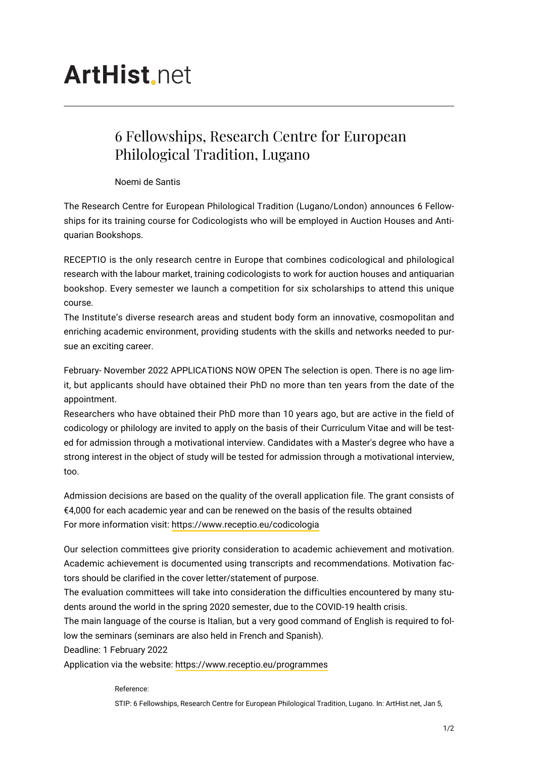## **ArtHist** net

## 6 Fellowships, Research Centre for European Philological Tradition, Lugano

Noemi de Santis

The Research Centre for European Philological Tradition (Lugano/London) announces 6 Fellowships for its training course for Codicologists who will be employed in Auction Houses and Antiquarian Bookshops.

RECEPTIO is the only research centre in Europe that combines codicological and philological research with the labour market, training codicologists to work for auction houses and antiquarian bookshop. Every semester we launch a competition for six scholarships to attend this unique course.

The Institute's diverse research areas and student body form an innovative, cosmopolitan and enriching academic environment, providing students with the skills and networks needed to pursue an exciting career.

February- November 2022 APPLICATIONS NOW OPEN The selection is open. There is no age limit, but applicants should have obtained their PhD no more than ten years from the date of the appointment.

Researchers who have obtained their PhD more than 10 years ago, but are active in the field of codicology or philology are invited to apply on the basis of their Curriculum Vitae and will be tested for admission through a motivational interview. Candidates with a Master's degree who have a strong interest in the object of study will be tested for admission through a motivational interview, too.

Admission decisions are based on the quality of the overall application file. The grant consists of €4,000 for each academic year and can be renewed on the basis of the results obtained For more information visit: <https://www.receptio.eu/codicologia>

Our selection committees give priority consideration to academic achievement and motivation. Academic achievement is documented using transcripts and recommendations. Motivation factors should be clarified in the cover letter/statement of purpose.

The evaluation committees will take into consideration the difficulties encountered by many students around the world in the spring 2020 semester, due to the COVID-19 health crisis.

The main language of the course is Italian, but a very good command of English is required to follow the seminars (seminars are also held in French and Spanish).

Deadline: 1 February 2022

Application via the website: <https://www.receptio.eu/programmes>

Reference:

STIP: 6 Fellowships, Research Centre for European Philological Tradition, Lugano. In: ArtHist.net, Jan 5,